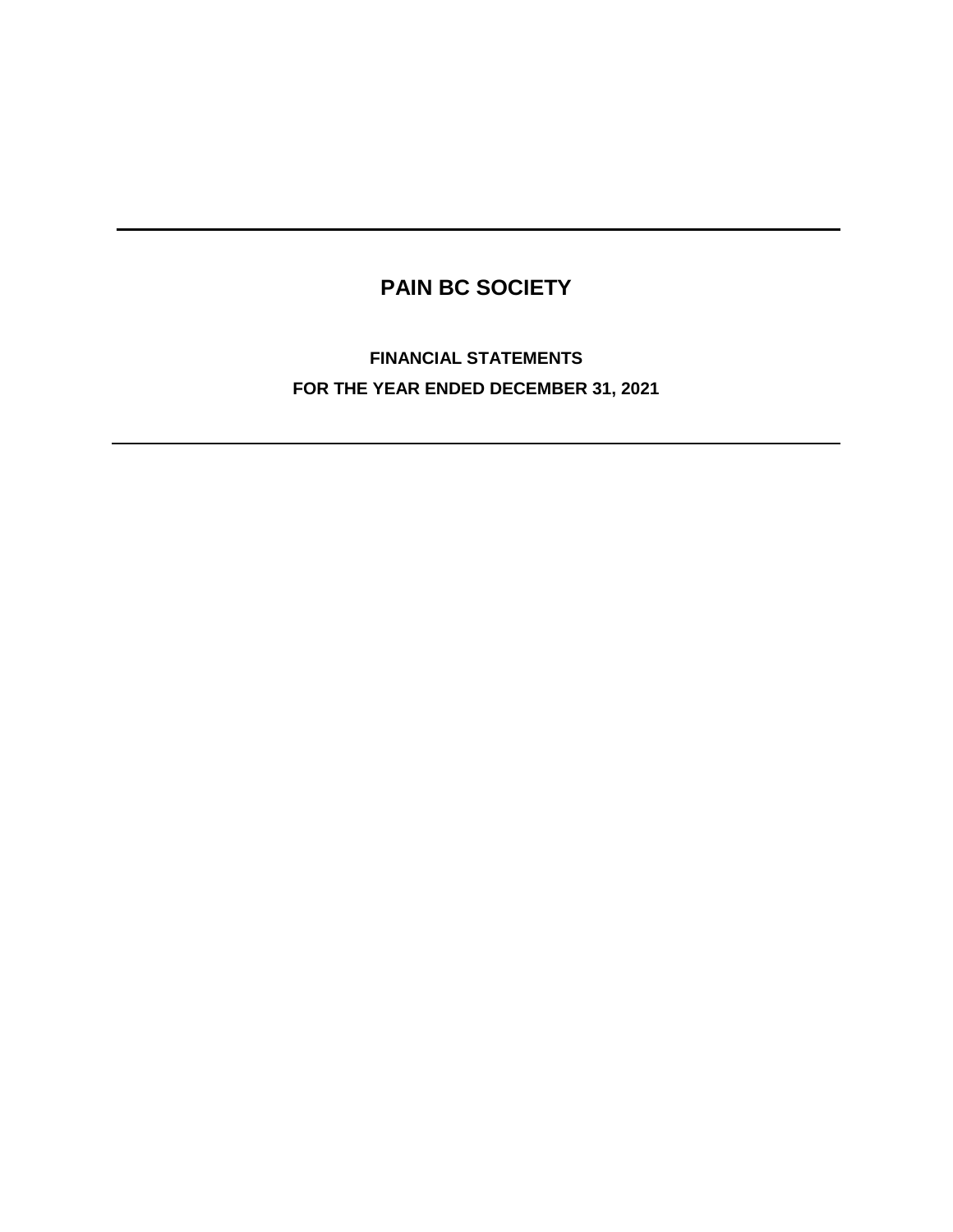# **PAIN BC SOCIETY**

**FINANCIAL STATEMENTS FOR THE YEAR ENDED DECEMBER 31, 2021**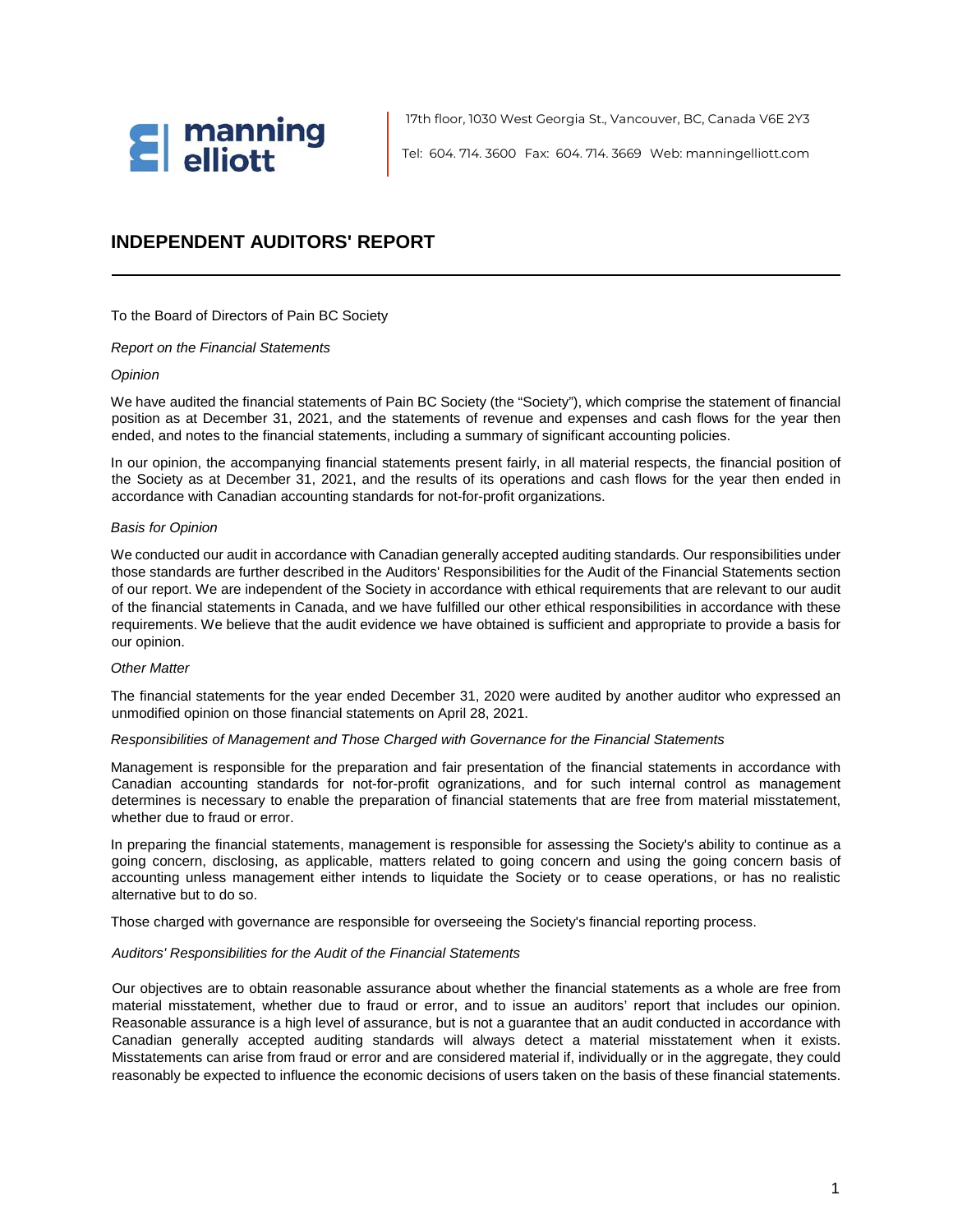

17th floor, 1030 West Georgia St., Vancouver, BC, Canada V6E 2Y3

Tel: 604. 714. 3600 Fax: 604. 714. 3669 Web: manningelliott.com

### **INDEPENDENT AUDITORS' REPORT**

To the Board of Directors of Pain BC Society

*Report on the Financial Statements*

#### *Opinion*

We have audited the financial statements of Pain BC Society (the "Society"), which comprise the statement of financial position as at December 31, 2021, and the statements of revenue and expenses and cash flows for the year then ended, and notes to the financial statements, including a summary of significant accounting policies.

In our opinion, the accompanying financial statements present fairly, in all material respects, the financial position of the Society as at December 31, 2021, and the results of its operations and cash flows for the year then ended in accordance with Canadian accounting standards for not-for-profit organizations.

#### *Basis for Opinion*

We conducted our audit in accordance with Canadian generally accepted auditing standards. Our responsibilities under those standards are further described in the Auditors' Responsibilities for the Audit of the Financial Statements section of our report. We are independent of the Society in accordance with ethical requirements that are relevant to our audit of the financial statements in Canada, and we have fulfilled our other ethical responsibilities in accordance with these requirements. We believe that the audit evidence we have obtained is sufficient and appropriate to provide a basis for our opinion.

#### *Other Matter*

The financial statements for the year ended December 31, 2020 were audited by another auditor who expressed an unmodified opinion on those financial statements on April 28, 2021.

#### *Responsibilities of Management and Those Charged with Governance for the Financial Statements*

Management is responsible for the preparation and fair presentation of the financial statements in accordance with Canadian accounting standards for not-for-profit ogranizations, and for such internal control as management determines is necessary to enable the preparation of financial statements that are free from material misstatement, whether due to fraud or error.

In preparing the financial statements, management is responsible for assessing the Society's ability to continue as a going concern, disclosing, as applicable, matters related to going concern and using the going concern basis of accounting unless management either intends to liquidate the Society or to cease operations, or has no realistic alternative but to do so.

Those charged with governance are responsible for overseeing the Society's financial reporting process.

#### *Auditors' Responsibilities for the Audit of the Financial Statements*

Our objectives are to obtain reasonable assurance about whether the financial statements as a whole are free from material misstatement, whether due to fraud or error, and to issue an auditors' report that includes our opinion. Reasonable assurance is a high level of assurance, but is not a guarantee that an audit conducted in accordance with Canadian generally accepted auditing standards will always detect a material misstatement when it exists. Misstatements can arise from fraud or error and are considered material if, individually or in the aggregate, they could reasonably be expected to influence the economic decisions of users taken on the basis of these financial statements.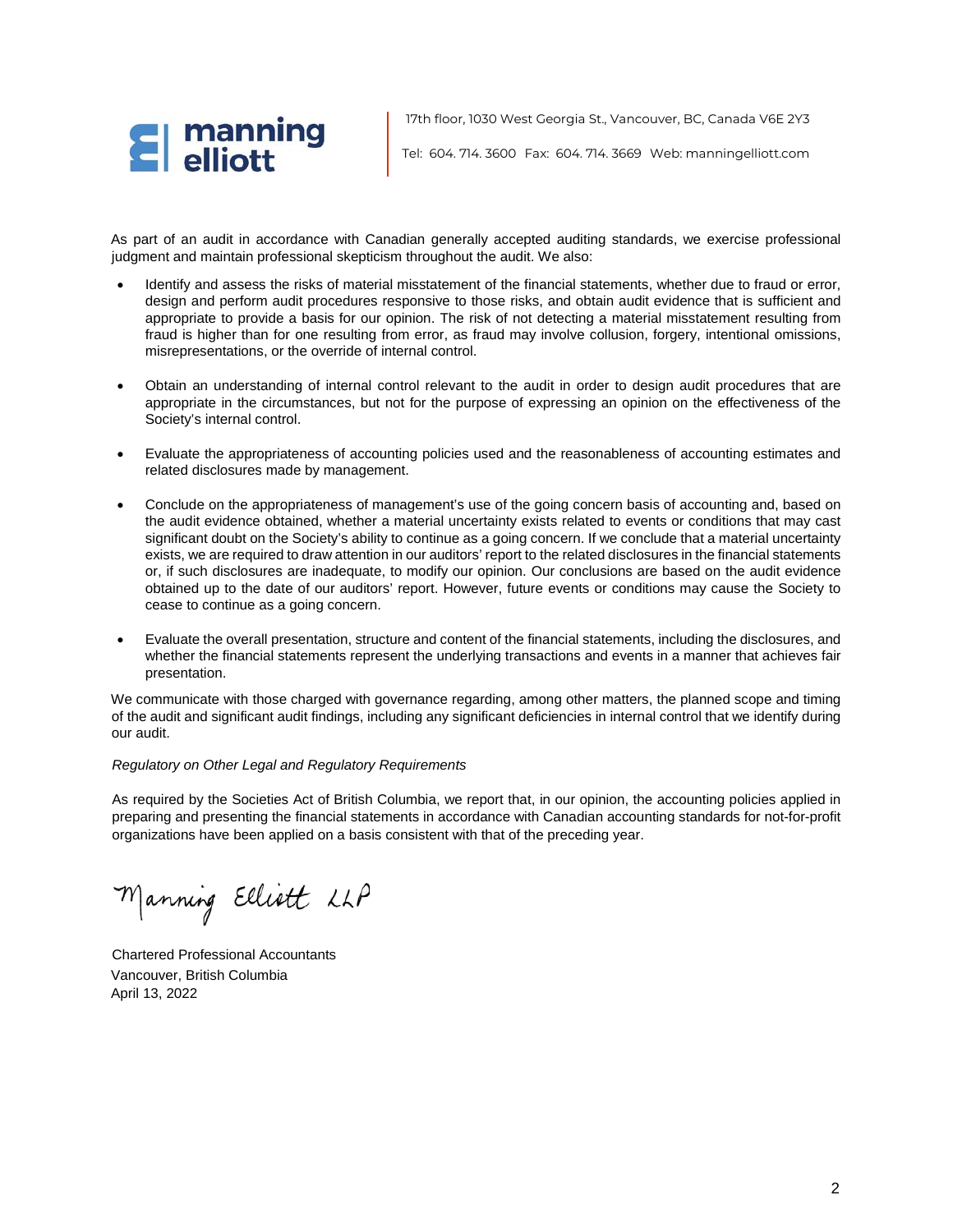

17th floor, 1030 West Georgia St., Vancouver, BC, Canada V6E 2Y3

Tel: 604. 714. 3600 Fax: 604. 714. 3669 Web: manningelliott.com

As part of an audit in accordance with Canadian generally accepted auditing standards, we exercise professional judgment and maintain professional skepticism throughout the audit. We also:

- Identify and assess the risks of material misstatement of the financial statements, whether due to fraud or error, design and perform audit procedures responsive to those risks, and obtain audit evidence that is sufficient and appropriate to provide a basis for our opinion. The risk of not detecting a material misstatement resulting from fraud is higher than for one resulting from error, as fraud may involve collusion, forgery, intentional omissions, misrepresentations, or the override of internal control.
- Obtain an understanding of internal control relevant to the audit in order to design audit procedures that are appropriate in the circumstances, but not for the purpose of expressing an opinion on the effectiveness of the Society's internal control.
- Evaluate the appropriateness of accounting policies used and the reasonableness of accounting estimates and related disclosures made by management.
- Conclude on the appropriateness of management's use of the going concern basis of accounting and, based on the audit evidence obtained, whether a material uncertainty exists related to events or conditions that may cast significant doubt on the Society's ability to continue as a going concern. If we conclude that a material uncertainty exists, we are required to draw attention in our auditors' report to the related disclosures in the financial statements or, if such disclosures are inadequate, to modify our opinion. Our conclusions are based on the audit evidence obtained up to the date of our auditors' report. However, future events or conditions may cause the Society to cease to continue as a going concern.
- Evaluate the overall presentation, structure and content of the financial statements, including the disclosures, and whether the financial statements represent the underlying transactions and events in a manner that achieves fair presentation.

We communicate with those charged with governance regarding, among other matters, the planned scope and timing of the audit and significant audit findings, including any significant deficiencies in internal control that we identify during our audit.

#### *Regulatory on Other Legal and Regulatory Requirements*

As required by the Societies Act of British Columbia, we report that, in our opinion, the accounting policies applied in preparing and presenting the financial statements in accordance with Canadian accounting standards for not-for-profit organizations have been applied on a basis consistent with that of the preceding year.

Manning Elliott LLP

Chartered Professional Accountants Vancouver, British Columbia April 13, 2022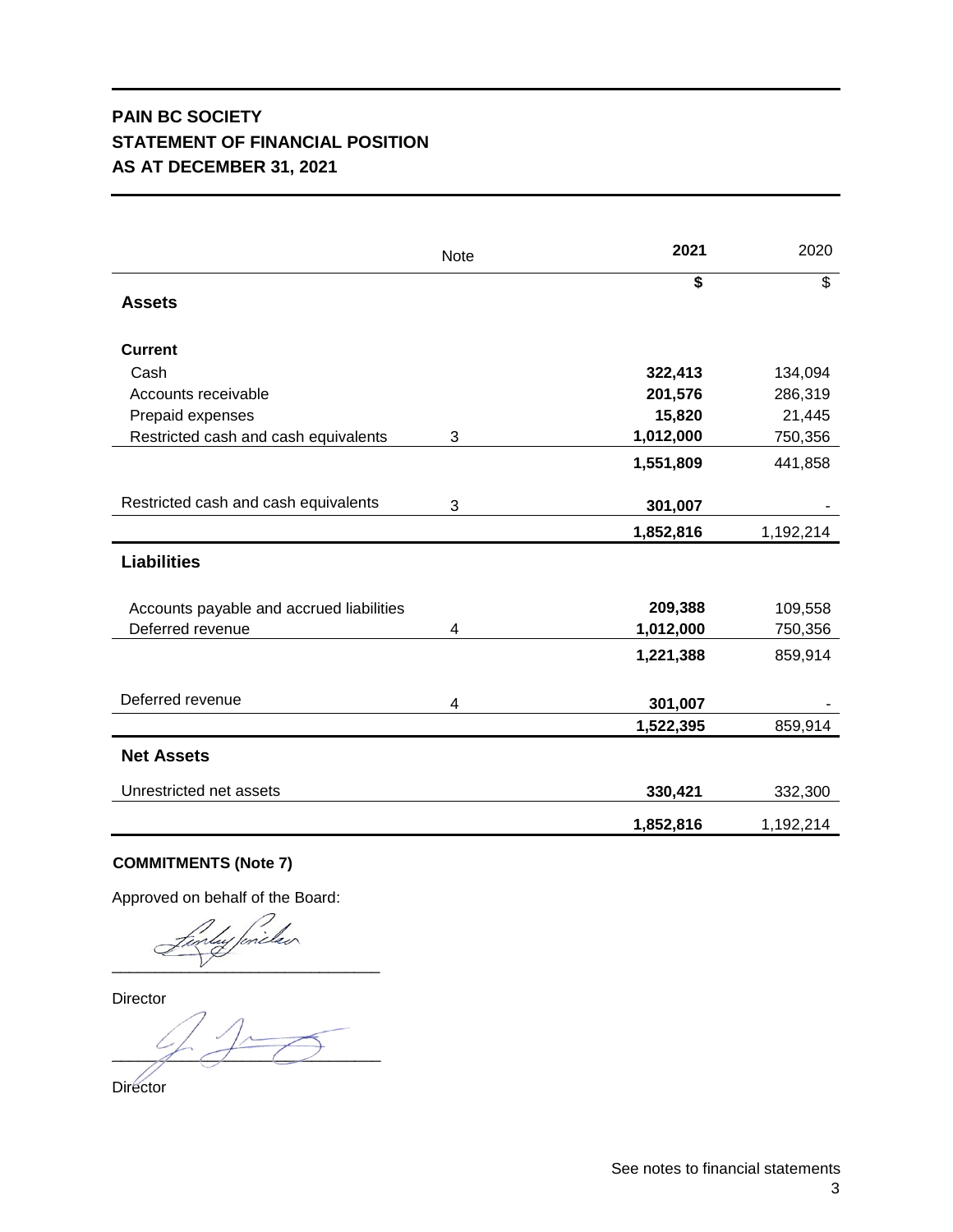## **PAIN BC SOCIETY STATEMENT OF FINANCIAL POSITION AS AT DECEMBER 31, 2021**

|                                          | <b>Note</b> | 2021      | 2020      |
|------------------------------------------|-------------|-----------|-----------|
| <b>Assets</b>                            |             | \$        | \$        |
| <b>Current</b>                           |             |           |           |
| Cash                                     |             | 322,413   | 134,094   |
| Accounts receivable                      |             | 201,576   | 286,319   |
| Prepaid expenses                         |             | 15,820    | 21,445    |
| Restricted cash and cash equivalents     | 3           | 1,012,000 | 750,356   |
|                                          |             | 1,551,809 | 441,858   |
| Restricted cash and cash equivalents     | 3           | 301,007   |           |
|                                          |             | 1,852,816 | 1,192,214 |
| <b>Liabilities</b>                       |             |           |           |
| Accounts payable and accrued liabilities |             | 209,388   | 109,558   |
| Deferred revenue                         | 4           | 1,012,000 | 750,356   |
|                                          |             | 1,221,388 | 859,914   |
| Deferred revenue                         | 4           | 301,007   |           |
|                                          |             | 1,522,395 | 859,914   |
| <b>Net Assets</b>                        |             |           |           |
| Unrestricted net assets                  |             | 330,421   | 332,300   |
|                                          |             | 1,852,816 | 1,192,214 |

### **COMMITMENTS (Note 7)**

Approved on behalf of the Board:

ilur  $\overline{V}$  , where  $\overline{V}$ 

Director

 $\mathcal{L}$ 

**Director**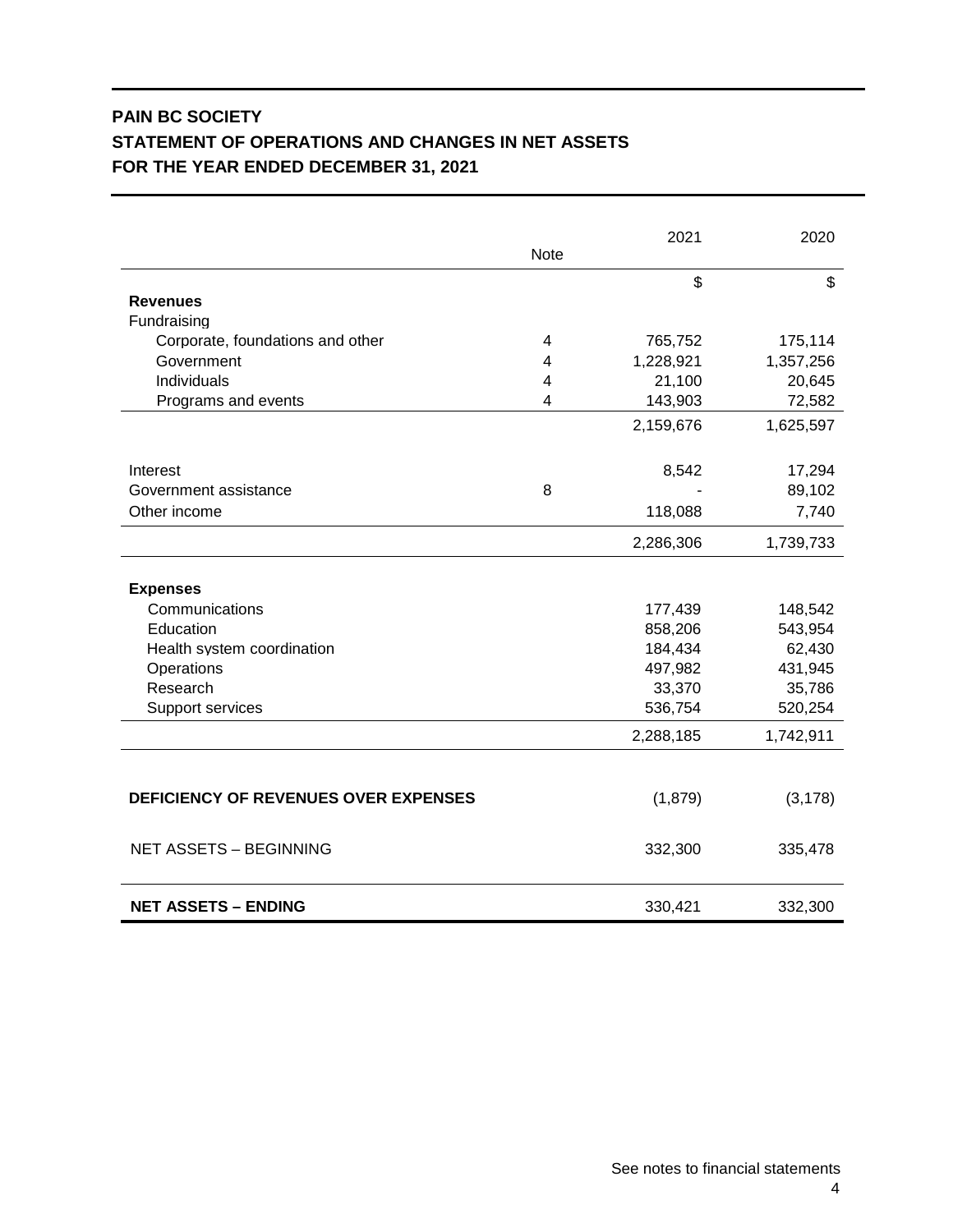## **PAIN BC SOCIETY STATEMENT OF OPERATIONS AND CHANGES IN NET ASSETS FOR THE YEAR ENDED DECEMBER 31, 2021**

|                                             | Note | 2021      | 2020      |
|---------------------------------------------|------|-----------|-----------|
|                                             |      | \$        | \$        |
| <b>Revenues</b>                             |      |           |           |
| Fundraising                                 |      |           |           |
| Corporate, foundations and other            | 4    | 765,752   | 175,114   |
| Government                                  | 4    | 1,228,921 | 1,357,256 |
| Individuals                                 | 4    | 21,100    | 20,645    |
| Programs and events                         | 4    | 143,903   | 72,582    |
|                                             |      | 2,159,676 | 1,625,597 |
| Interest                                    |      | 8,542     | 17,294    |
| Government assistance                       | 8    |           | 89,102    |
| Other income                                |      | 118,088   | 7,740     |
|                                             |      | 2,286,306 | 1,739,733 |
| <b>Expenses</b>                             |      |           |           |
| Communications                              |      | 177,439   | 148,542   |
| Education                                   |      | 858,206   | 543,954   |
| Health system coordination                  |      | 184,434   | 62,430    |
| Operations                                  |      | 497,982   | 431,945   |
| Research                                    |      | 33,370    | 35,786    |
| <b>Support services</b>                     |      | 536,754   | 520,254   |
|                                             |      | 2,288,185 | 1,742,911 |
|                                             |      |           |           |
| <b>DEFICIENCY OF REVENUES OVER EXPENSES</b> |      | (1,879)   | (3, 178)  |
| <b>NET ASSETS - BEGINNING</b>               |      | 332,300   | 335,478   |
| <b>NET ASSETS - ENDING</b>                  |      | 330,421   | 332,300   |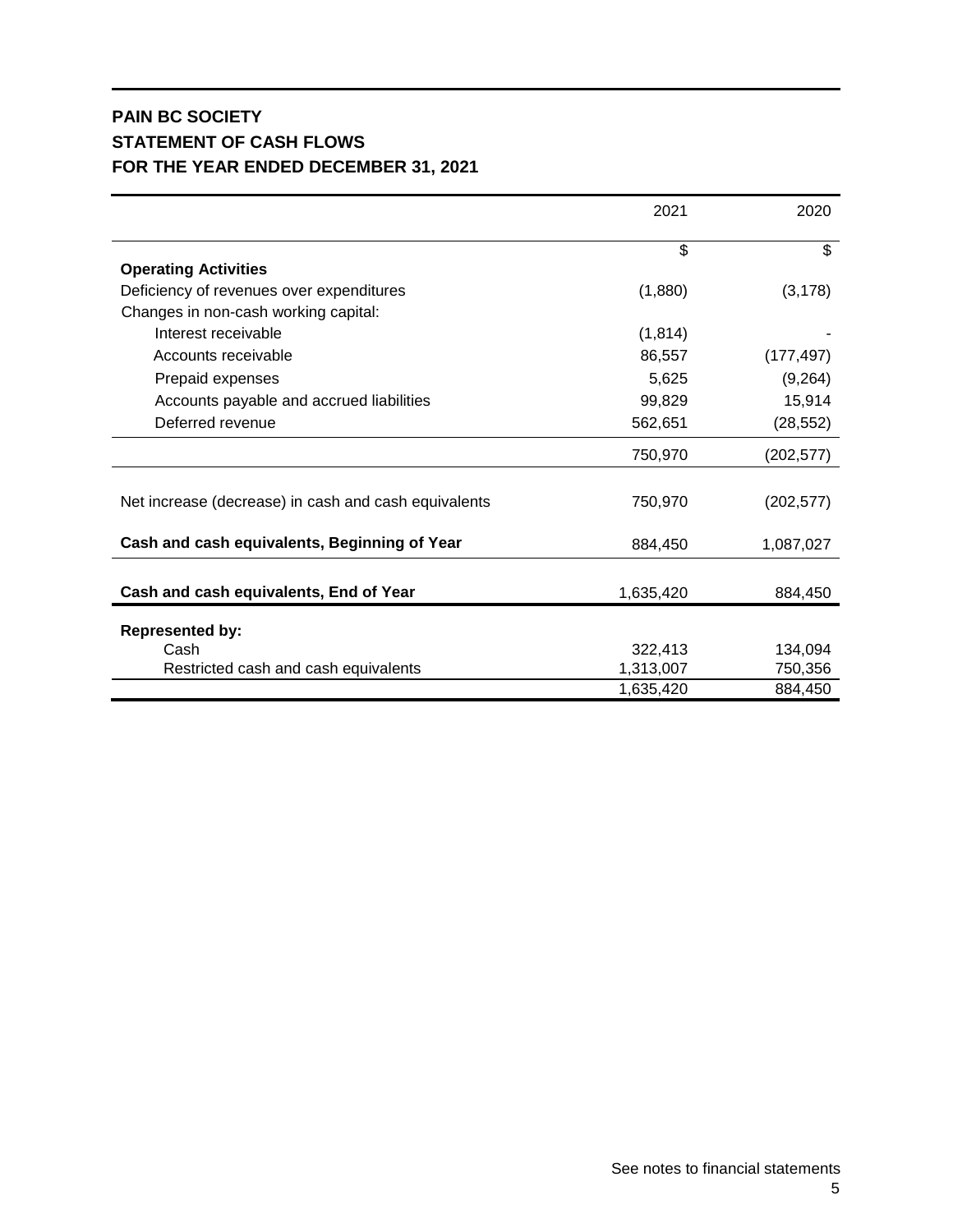## **PAIN BC SOCIETY STATEMENT OF CASH FLOWS FOR THE YEAR ENDED DECEMBER 31, 2021**

| \$<br>\$<br><b>Operating Activities</b><br>Deficiency of revenues over expenditures<br>(1,880)<br>(3, 178)<br>Changes in non-cash working capital:<br>Interest receivable<br>(1, 814)<br>86,557<br>Accounts receivable<br>(177, 497)<br>Prepaid expenses<br>5,625<br>(9,264)<br>99,829<br>15,914<br>Accounts payable and accrued liabilities<br>Deferred revenue<br>562,651<br>(28, 552)<br>750,970<br>(202, 577)<br>750,970<br>Net increase (decrease) in cash and cash equivalents<br>(202, 577)<br>Cash and cash equivalents, Beginning of Year<br>884,450<br>1,087,027<br>Cash and cash equivalents, End of Year<br>1,635,420<br>884,450<br><b>Represented by:</b><br>Cash<br>322.413<br>134.094<br>1,313,007<br>750,356<br>Restricted cash and cash equivalents | 2021      | 2020    |
|----------------------------------------------------------------------------------------------------------------------------------------------------------------------------------------------------------------------------------------------------------------------------------------------------------------------------------------------------------------------------------------------------------------------------------------------------------------------------------------------------------------------------------------------------------------------------------------------------------------------------------------------------------------------------------------------------------------------------------------------------------------------|-----------|---------|
|                                                                                                                                                                                                                                                                                                                                                                                                                                                                                                                                                                                                                                                                                                                                                                      |           |         |
|                                                                                                                                                                                                                                                                                                                                                                                                                                                                                                                                                                                                                                                                                                                                                                      |           |         |
|                                                                                                                                                                                                                                                                                                                                                                                                                                                                                                                                                                                                                                                                                                                                                                      |           |         |
|                                                                                                                                                                                                                                                                                                                                                                                                                                                                                                                                                                                                                                                                                                                                                                      |           |         |
|                                                                                                                                                                                                                                                                                                                                                                                                                                                                                                                                                                                                                                                                                                                                                                      |           |         |
|                                                                                                                                                                                                                                                                                                                                                                                                                                                                                                                                                                                                                                                                                                                                                                      |           |         |
|                                                                                                                                                                                                                                                                                                                                                                                                                                                                                                                                                                                                                                                                                                                                                                      |           |         |
|                                                                                                                                                                                                                                                                                                                                                                                                                                                                                                                                                                                                                                                                                                                                                                      |           |         |
|                                                                                                                                                                                                                                                                                                                                                                                                                                                                                                                                                                                                                                                                                                                                                                      |           |         |
|                                                                                                                                                                                                                                                                                                                                                                                                                                                                                                                                                                                                                                                                                                                                                                      |           |         |
|                                                                                                                                                                                                                                                                                                                                                                                                                                                                                                                                                                                                                                                                                                                                                                      |           |         |
|                                                                                                                                                                                                                                                                                                                                                                                                                                                                                                                                                                                                                                                                                                                                                                      |           |         |
|                                                                                                                                                                                                                                                                                                                                                                                                                                                                                                                                                                                                                                                                                                                                                                      |           |         |
|                                                                                                                                                                                                                                                                                                                                                                                                                                                                                                                                                                                                                                                                                                                                                                      |           |         |
|                                                                                                                                                                                                                                                                                                                                                                                                                                                                                                                                                                                                                                                                                                                                                                      |           |         |
|                                                                                                                                                                                                                                                                                                                                                                                                                                                                                                                                                                                                                                                                                                                                                                      |           |         |
|                                                                                                                                                                                                                                                                                                                                                                                                                                                                                                                                                                                                                                                                                                                                                                      |           |         |
|                                                                                                                                                                                                                                                                                                                                                                                                                                                                                                                                                                                                                                                                                                                                                                      | 1,635,420 | 884,450 |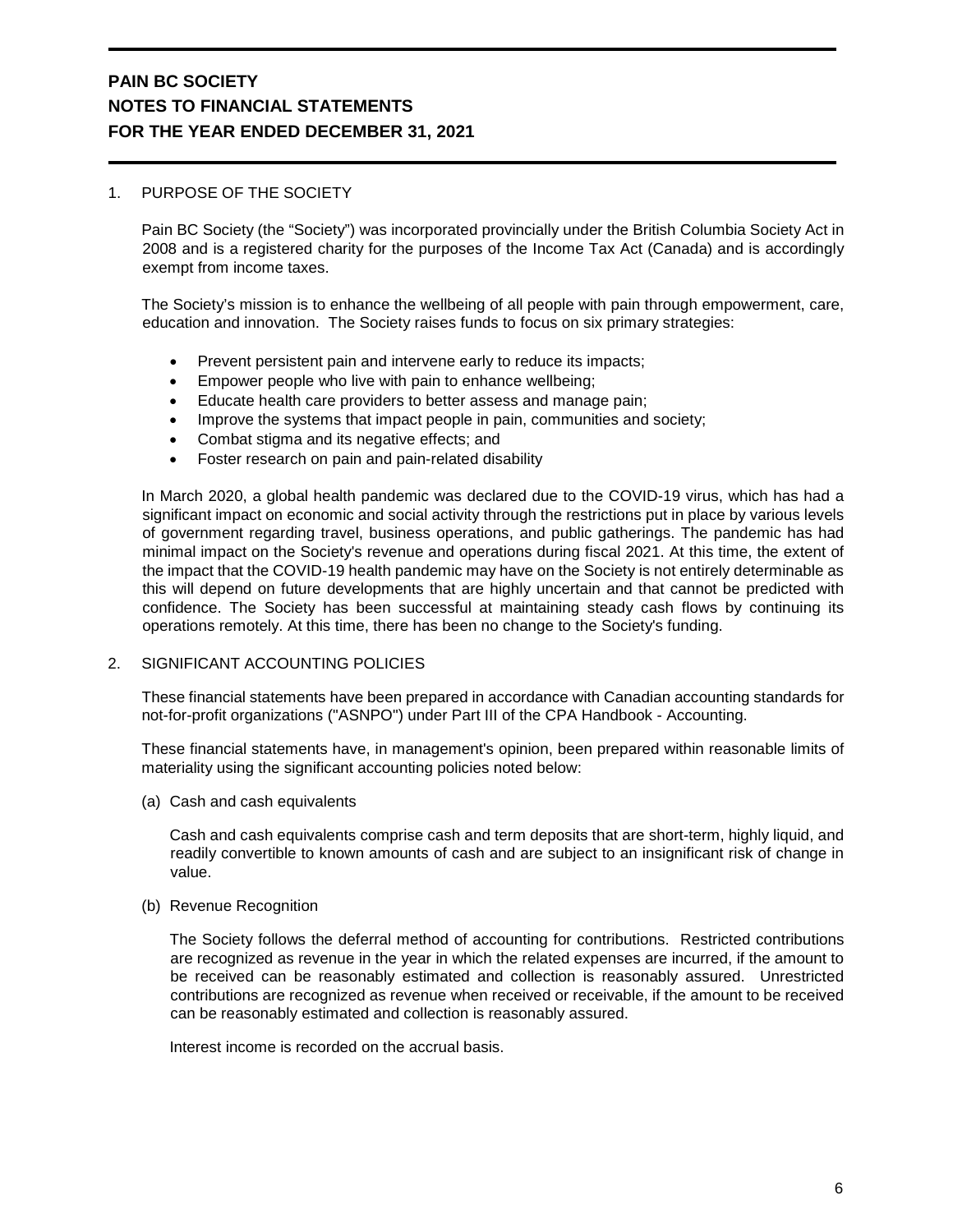### 1. PURPOSE OF THE SOCIETY

Pain BC Society (the "Society") was incorporated provincially under the British Columbia Society Act in 2008 and is a registered charity for the purposes of the Income Tax Act (Canada) and is accordingly exempt from income taxes.

The Society's mission is to enhance the wellbeing of all people with pain through empowerment, care, education and innovation. The Society raises funds to focus on six primary strategies:

- Prevent persistent pain and intervene early to reduce its impacts;
- Empower people who live with pain to enhance wellbeing;
- Educate health care providers to better assess and manage pain;
- Improve the systems that impact people in pain, communities and society;
- Combat stigma and its negative effects; and
- Foster research on pain and pain-related disability

In March 2020, a global health pandemic was declared due to the COVID-19 virus, which has had a significant impact on economic and social activity through the restrictions put in place by various levels of government regarding travel, business operations, and public gatherings. The pandemic has had minimal impact on the Society's revenue and operations during fiscal 2021. At this time, the extent of the impact that the COVID-19 health pandemic may have on the Society is not entirely determinable as this will depend on future developments that are highly uncertain and that cannot be predicted with confidence. The Society has been successful at maintaining steady cash flows by continuing its operations remotely. At this time, there has been no change to the Society's funding.

### 2. SIGNIFICANT ACCOUNTING POLICIES

These financial statements have been prepared in accordance with Canadian accounting standards for not-for-profit organizations ("ASNPO") under Part III of the CPA Handbook - Accounting.

These financial statements have, in management's opinion, been prepared within reasonable limits of materiality using the significant accounting policies noted below:

(a) Cash and cash equivalents

Cash and cash equivalents comprise cash and term deposits that are short-term, highly liquid, and readily convertible to known amounts of cash and are subject to an insignificant risk of change in value.

(b) Revenue Recognition

The Society follows the deferral method of accounting for contributions. Restricted contributions are recognized as revenue in the year in which the related expenses are incurred, if the amount to be received can be reasonably estimated and collection is reasonably assured. Unrestricted contributions are recognized as revenue when received or receivable, if the amount to be received can be reasonably estimated and collection is reasonably assured.

Interest income is recorded on the accrual basis.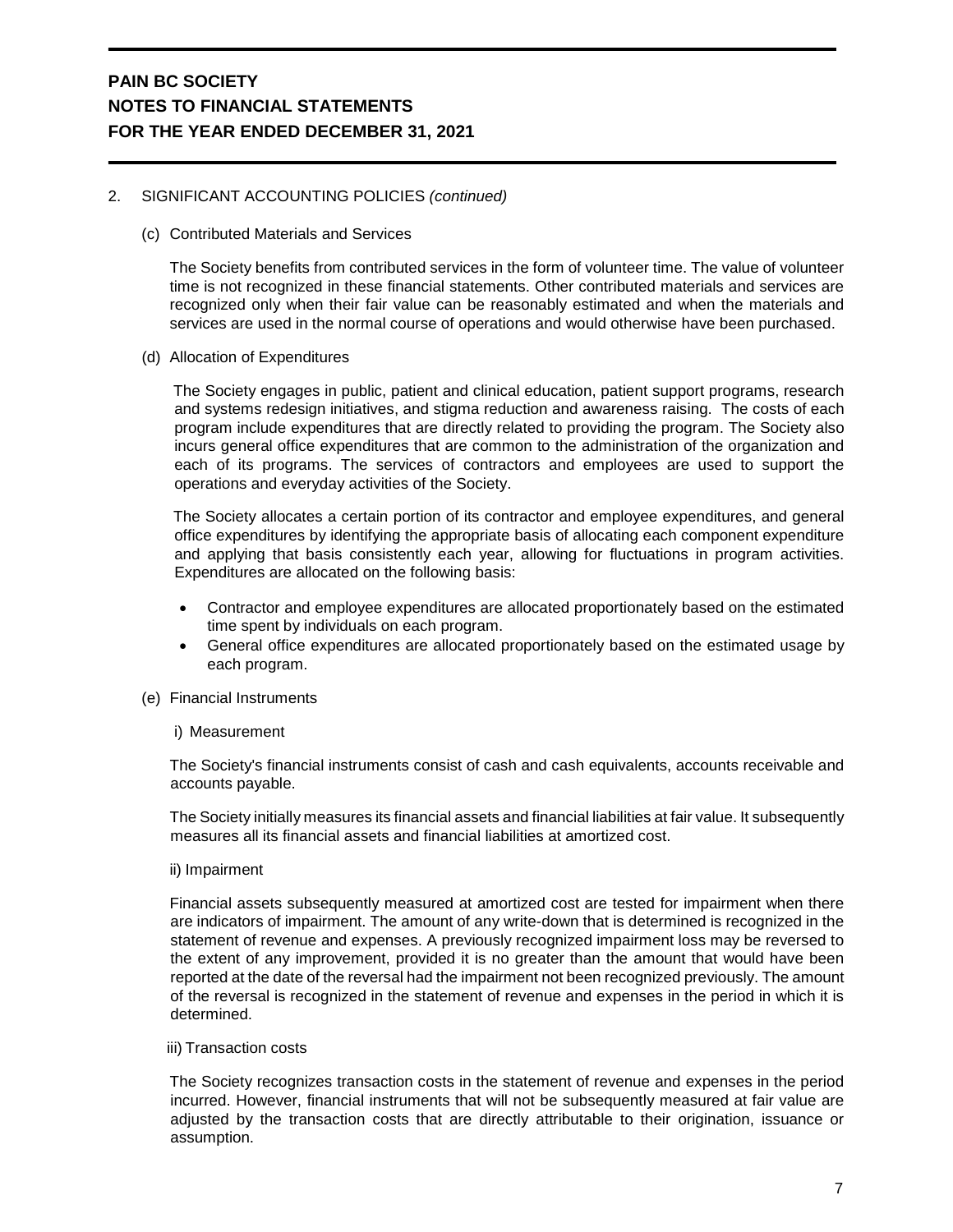### 2. SIGNIFICANT ACCOUNTING POLICIES *(continued)*

### (c) Contributed Materials and Services

The Society benefits from contributed services in the form of volunteer time. The value of volunteer time is not recognized in these financial statements. Other contributed materials and services are recognized only when their fair value can be reasonably estimated and when the materials and services are used in the normal course of operations and would otherwise have been purchased.

(d) Allocation of Expenditures

The Society engages in public, patient and clinical education, patient support programs, research and systems redesign initiatives, and stigma reduction and awareness raising. The costs of each program include expenditures that are directly related to providing the program. The Society also incurs general office expenditures that are common to the administration of the organization and each of its programs. The services of contractors and employees are used to support the operations and everyday activities of the Society.

The Society allocates a certain portion of its contractor and employee expenditures, and general office expenditures by identifying the appropriate basis of allocating each component expenditure and applying that basis consistently each year, allowing for fluctuations in program activities. Expenditures are allocated on the following basis:

- Contractor and employee expenditures are allocated proportionately based on the estimated time spent by individuals on each program.
- General office expenditures are allocated proportionately based on the estimated usage by each program.

### (e) Financial Instruments

i) Measurement

The Society's financial instruments consist of cash and cash equivalents, accounts receivable and accounts payable.

The Society initially measures its financial assets and financial liabilities at fair value. It subsequently measures all its financial assets and financial liabilities at amortized cost.

### ii) Impairment

Financial assets subsequently measured at amortized cost are tested for impairment when there are indicators of impairment. The amount of any write-down that is determined is recognized in the statement of revenue and expenses. A previously recognized impairment loss may be reversed to the extent of any improvement, provided it is no greater than the amount that would have been reported at the date of the reversal had the impairment not been recognized previously. The amount of the reversal is recognized in the statement of revenue and expenses in the period in which it is determined.

### iii) Transaction costs

The Society recognizes transaction costs in the statement of revenue and expenses in the period incurred. However, financial instruments that will not be subsequently measured at fair value are adjusted by the transaction costs that are directly attributable to their origination, issuance or assumption.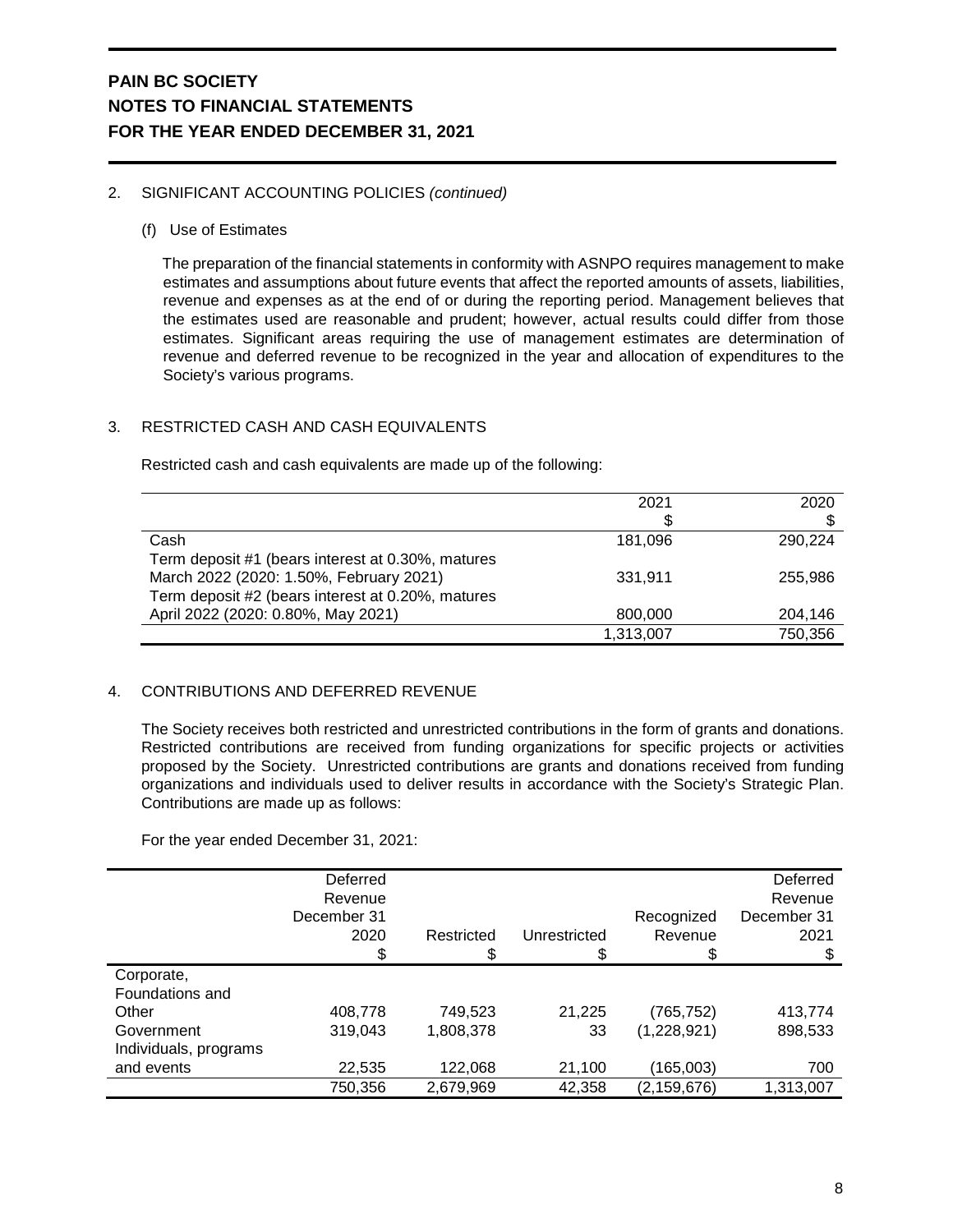### 2. SIGNIFICANT ACCOUNTING POLICIES *(continued)*

### (f) Use of Estimates

The preparation of the financial statements in conformity with ASNPO requires management to make estimates and assumptions about future events that affect the reported amounts of assets, liabilities, revenue and expenses as at the end of or during the reporting period. Management believes that the estimates used are reasonable and prudent; however, actual results could differ from those estimates. Significant areas requiring the use of management estimates are determination of revenue and deferred revenue to be recognized in the year and allocation of expenditures to the Society's various programs.

### 3. RESTRICTED CASH AND CASH EQUIVALENTS

Restricted cash and cash equivalents are made up of the following:

|                                                   | 2021      | 2020    |
|---------------------------------------------------|-----------|---------|
|                                                   | \$        |         |
| Cash                                              | 181.096   | 290,224 |
| Term deposit #1 (bears interest at 0.30%, matures |           |         |
| March 2022 (2020: 1.50%, February 2021)           | 331.911   | 255.986 |
| Term deposit #2 (bears interest at 0.20%, matures |           |         |
| April 2022 (2020: 0.80%, May 2021)                | 800,000   | 204.146 |
|                                                   | 1,313,007 | 750,356 |

### 4. CONTRIBUTIONS AND DEFERRED REVENUE

The Society receives both restricted and unrestricted contributions in the form of grants and donations. Restricted contributions are received from funding organizations for specific projects or activities proposed by the Society. Unrestricted contributions are grants and donations received from funding organizations and individuals used to deliver results in accordance with the Society's Strategic Plan. Contributions are made up as follows:

For the year ended December 31, 2021:

|                       | Deferred<br>Revenue<br>December 31<br>2020<br>\$ | Restricted<br>\$ | Unrestricted<br>\$ | Recognized<br>Revenue<br>\$ | Deferred<br>Revenue<br>December 31<br>2021<br>\$ |
|-----------------------|--------------------------------------------------|------------------|--------------------|-----------------------------|--------------------------------------------------|
| Corporate,            |                                                  |                  |                    |                             |                                                  |
| Foundations and       |                                                  |                  |                    |                             |                                                  |
| Other                 | 408,778                                          | 749,523          | 21,225             | (765,752)                   | 413,774                                          |
| Government            | 319.043                                          | 1,808,378        | 33                 | (1,228,921)                 | 898,533                                          |
| Individuals, programs |                                                  |                  |                    |                             |                                                  |
| and events            | 22,535                                           | 122,068          | 21,100             | (165,003)                   | 700                                              |
|                       | 750,356                                          | 2,679,969        | 42,358             | (2, 159, 676)               | 1,313,007                                        |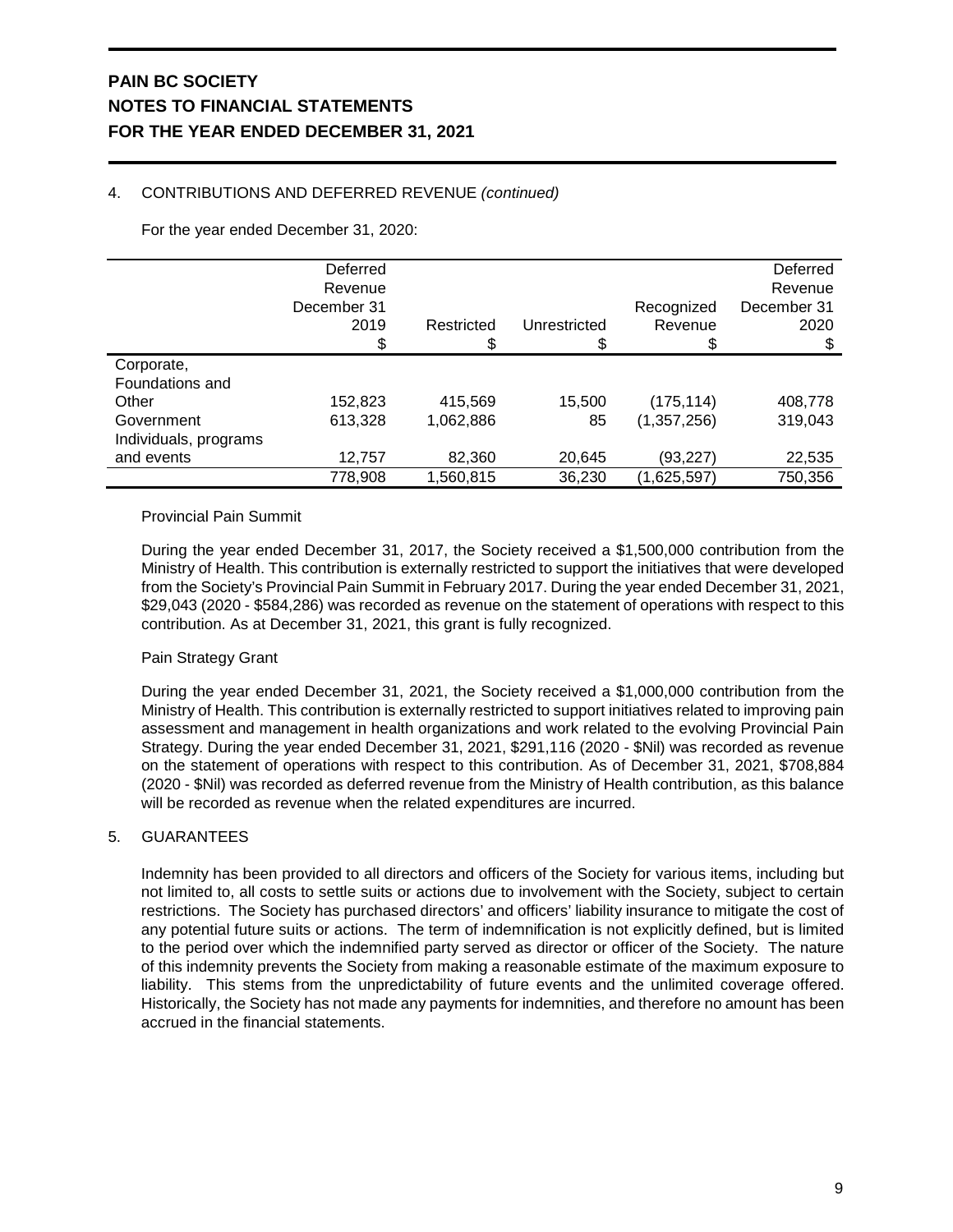### 4. CONTRIBUTIONS AND DEFERRED REVENUE *(continued)*

For the year ended December 31, 2020:

|                       | Deferred<br>Revenue<br>December 31<br>2019<br>\$ | Restricted | Unrestricted<br>\$ | Recognized<br>Revenue | Deferred<br>Revenue<br>December 31<br>2020 |
|-----------------------|--------------------------------------------------|------------|--------------------|-----------------------|--------------------------------------------|
| Corporate,            |                                                  |            |                    |                       |                                            |
| Foundations and       |                                                  |            |                    |                       |                                            |
| Other                 | 152,823                                          | 415,569    | 15,500             | (175, 114)            | 408,778                                    |
| Government            | 613,328                                          | 1,062,886  | 85                 | (1,357,256)           | 319,043                                    |
| Individuals, programs |                                                  |            |                    |                       |                                            |
| and events            | 12.757                                           | 82,360     | 20,645             | (93,227)              | 22,535                                     |
|                       | 778,908                                          | 1.560.815  | 36,230             | (1,625,597)           | 750,356                                    |

### Provincial Pain Summit

During the year ended December 31, 2017, the Society received a \$1,500,000 contribution from the Ministry of Health. This contribution is externally restricted to support the initiatives that were developed from the Society's Provincial Pain Summit in February 2017. During the year ended December 31, 2021, \$29,043 (2020 - \$584,286) was recorded as revenue on the statement of operations with respect to this contribution. As at December 31, 2021, this grant is fully recognized.

### Pain Strategy Grant

During the year ended December 31, 2021, the Society received a \$1,000,000 contribution from the Ministry of Health. This contribution is externally restricted to support initiatives related to improving pain assessment and management in health organizations and work related to the evolving Provincial Pain Strategy. During the year ended December 31, 2021, \$291,116 (2020 - \$Nil) was recorded as revenue on the statement of operations with respect to this contribution. As of December 31, 2021, \$708,884 (2020 - \$Nil) was recorded as deferred revenue from the Ministry of Health contribution, as this balance will be recorded as revenue when the related expenditures are incurred.

### 5. GUARANTEES

Indemnity has been provided to all directors and officers of the Society for various items, including but not limited to, all costs to settle suits or actions due to involvement with the Society, subject to certain restrictions. The Society has purchased directors' and officers' liability insurance to mitigate the cost of any potential future suits or actions. The term of indemnification is not explicitly defined, but is limited to the period over which the indemnified party served as director or officer of the Society. The nature of this indemnity prevents the Society from making a reasonable estimate of the maximum exposure to liability. This stems from the unpredictability of future events and the unlimited coverage offered. Historically, the Society has not made any payments for indemnities, and therefore no amount has been accrued in the financial statements.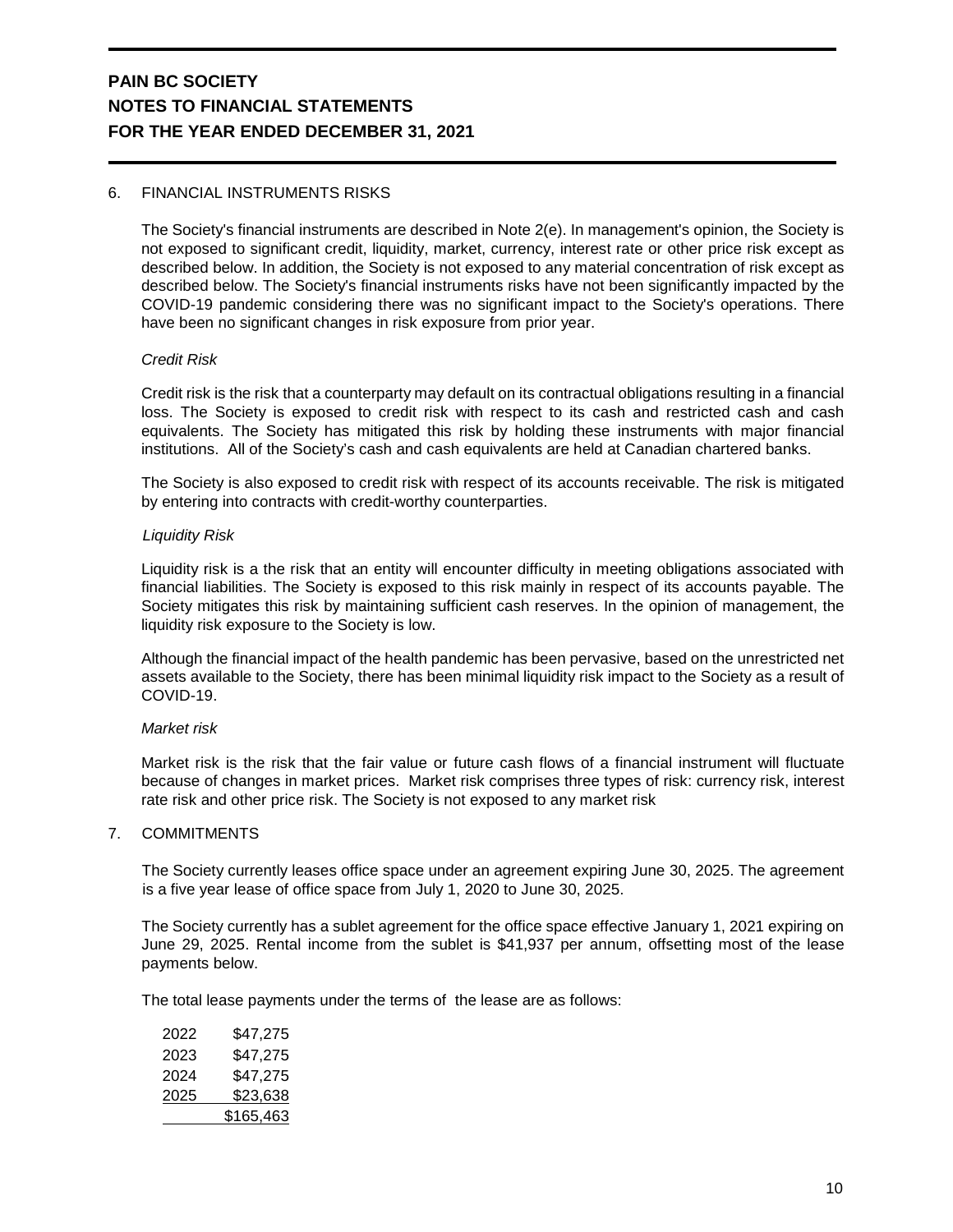### 6. FINANCIAL INSTRUMENTS RISKS

The Society's financial instruments are described in Note 2(e). In management's opinion, the Society is not exposed to significant credit, liquidity, market, currency, interest rate or other price risk except as described below. In addition, the Society is not exposed to any material concentration of risk except as described below. The Society's financial instruments risks have not been significantly impacted by the COVID-19 pandemic considering there was no significant impact to the Society's operations. There have been no significant changes in risk exposure from prior year.

### *Credit Risk*

Credit risk is the risk that a counterparty may default on its contractual obligations resulting in a financial loss. The Society is exposed to credit risk with respect to its cash and restricted cash and cash equivalents. The Society has mitigated this risk by holding these instruments with major financial institutions. All of the Society's cash and cash equivalents are held at Canadian chartered banks.

The Society is also exposed to credit risk with respect of its accounts receivable. The risk is mitigated by entering into contracts with credit-worthy counterparties.

### *Liquidity Risk*

Liquidity risk is a the risk that an entity will encounter difficulty in meeting obligations associated with financial liabilities. The Society is exposed to this risk mainly in respect of its accounts payable. The Society mitigates this risk by maintaining sufficient cash reserves. In the opinion of management, the liquidity risk exposure to the Society is low.

Although the financial impact of the health pandemic has been pervasive, based on the unrestricted net assets available to the Society, there has been minimal liquidity risk impact to the Society as a result of COVID-19.

### *Market risk*

Market risk is the risk that the fair value or future cash flows of a financial instrument will fluctuate because of changes in market prices. Market risk comprises three types of risk: currency risk, interest rate risk and other price risk. The Society is not exposed to any market risk

### 7. COMMITMENTS

The Society currently leases office space under an agreement expiring June 30, 2025. The agreement is a five year lease of office space from July 1, 2020 to June 30, 2025.

The Society currently has a sublet agreement for the office space effective January 1, 2021 expiring on June 29, 2025. Rental income from the sublet is \$41,937 per annum, offsetting most of the lease payments below.

The total lease payments under the terms of the lease are as follows:

| 2022 | \$47.275  |
|------|-----------|
| 2023 | \$47.275  |
| 2024 | \$47,275  |
| 2025 | \$23,638  |
|      | \$165,463 |